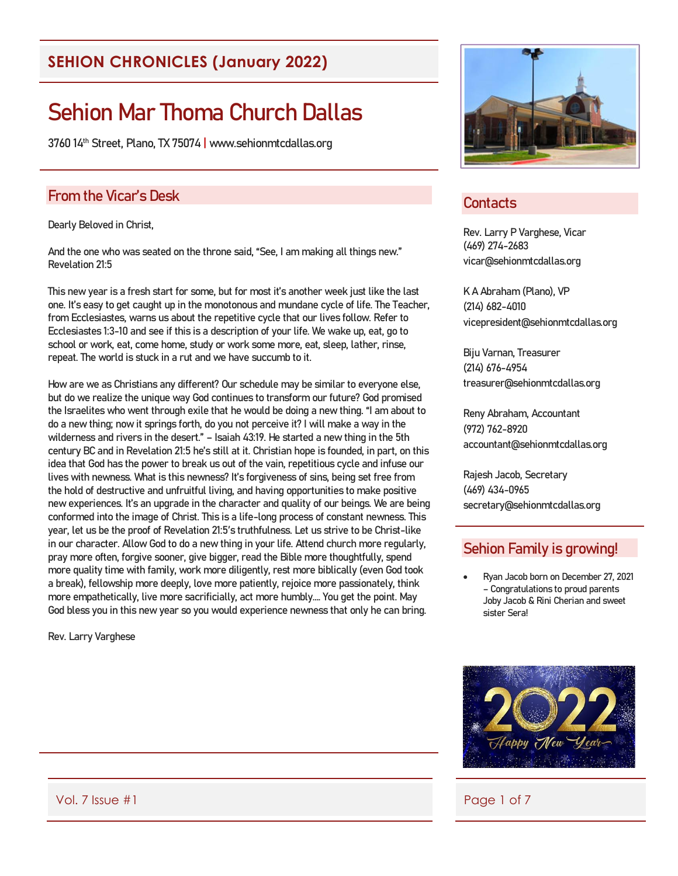# **SEHION CHRONICLES (January 2022)**

# Sehion Mar Thoma Church Dallas

3760 14th Street, Plano, TX 75074 | www.sehionmtcdallas.org

## From the Vicar's Desk

Dearly Beloved in Christ,

And the one who was seated on the throne said, "See, I am making all things new." Revelation 21:5

This new year is a fresh start for some, but for most it's another week just like the last one. It's easy to get caught up in the monotonous and mundane cycle of life. The Teacher, from Ecclesiastes, warns us about the repetitive cycle that our lives follow. Refer to Ecclesiastes 1:3-10 and see if this is a description of your life. We wake up, eat, go to school or work, eat, come home, study or work some more, eat, sleep, lather, rinse, repeat. The world is stuck in a rut and we have succumb to it.

How are we as Christians any different? Our schedule may be similar to everyone else, but do we realize the unique way God continues to transform our future? God promised the Israelites who went through exile that he would be doing a new thing. "I am about to do a new thing; now it springs forth, do you not perceive it? I will make a way in the wilderness and rivers in the desert." – Isaiah 43:19. He started a new thing in the 5th century BC and in Revelation 21:5 he's still at it. Christian hope is founded, in part, on this idea that God has the power to break us out of the vain, repetitious cycle and infuse our lives with newness. What is this newness? It's forgiveness of sins, being set free from the hold of destructive and unfruitful living, and having opportunities to make positive new experiences. It's an upgrade in the character and quality of our beings. We are being conformed into the image of Christ. This is a life-long process of constant newness. This year, let us be the proof of Revelation 21:5′s truthfulness. Let us strive to be Christ-like in our character. Allow God to do a new thing in your life. Attend church more regularly, pray more often, forgive sooner, give bigger, read the Bible more thoughtfully, spend more quality time with family, work more diligently, rest more biblically (even God took a break), fellowship more deeply, love more patiently, rejoice more passionately, think more empathetically, live more sacrificially, act more humbly…. You get the point. May God bless you in this new year so you would experience newness that only he can bring.

Rev. Larry Varghese



## **Contacts**

Rev. Larry P Varghese, Vicar (469) 274-2683 vicar@sehionmtcdallas.org

K A Abraham (Plano), VP (214) 682-4010 vicepresident@sehionmtcdallas.org

Biju Varnan, Treasurer (214) 676-4954 treasurer@sehionmtcdallas.org

Reny Abraham, Accountant (972) 762-8920 accountant@sehionmtcdallas.org

Rajesh Jacob, Secretary (469) 434-0965 secretary@sehionmtcdallas.org

## Sehion Family is growing!

• Ryan Jacob born on December 27, 2021 – Congratulations to proud parents Joby Jacob & Rini Cherian and sweet sister Sera!



Vol. 7 Issue #1 Page 1 of 7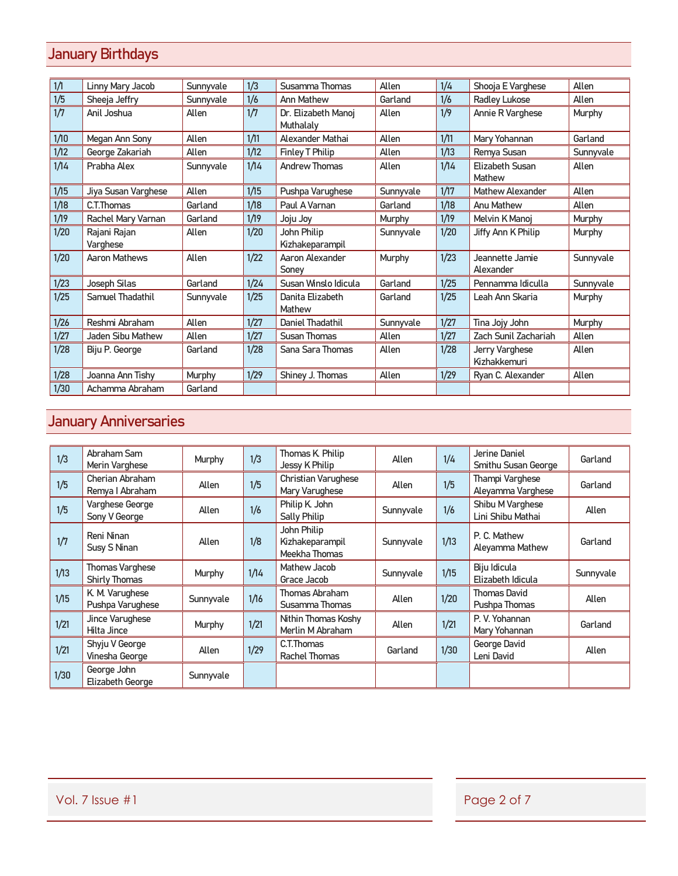# January Birthdays

| 1/1  | Linny Mary Jacob         | Sunnyvale | 1/3  | Susamma Thomas                   | Allen     | 1/4  | Shooja E Varghese              | Allen     |
|------|--------------------------|-----------|------|----------------------------------|-----------|------|--------------------------------|-----------|
| 1/5  | Sheeja Jeffry            | Sunnyvale | 1/6  | Ann Mathew                       | Garland   | 1/6  | Radley Lukose                  | Allen     |
| 1/7  | Anil Joshua              | Allen     | 1/7  | Dr. Elizabeth Manoj<br>Muthalaly | Allen     | 1/9  | Annie R Varghese               | Murphy    |
| 1/10 | Megan Ann Sony           | Allen     | 1/11 | Alexander Mathai                 | Allen     | 1/11 | Mary Yohannan                  | Garland   |
| 1/12 | George Zakariah          | Allen     | 1/12 | Finley T Philip                  | Allen     | 1/13 | Remya Susan                    | Sunnyvale |
| 1/14 | Prabha Alex              | Sunnyvale | 1/14 | <b>Andrew Thomas</b>             | Allen     | 1/14 | Elizabeth Susan<br>Mathew      | Allen     |
| 1/15 | Jiya Susan Varghese      | Allen     | 1/15 | Pushpa Varughese                 | Sunnyvale | 1/17 | Mathew Alexander               | Allen     |
| 1/18 | C.T.Thomas               | Garland   | 1/18 | Paul A Varnan                    | Garland   | 1/18 | Anu Mathew                     | Allen     |
| 1/19 | Rachel Mary Varnan       | Garland   | 1/19 | Joju Joy                         | Murphy    | 1/19 | Melvin K Manoj                 | Murphy    |
| 1/20 | Rajani Rajan<br>Varghese | Allen     | 1/20 | John Philip<br>Kizhakeparampil   | Sunnyvale | 1/20 | Jiffy Ann K Philip             | Murphy    |
| 1/20 | Aaron Mathews            | Allen     | 1/22 | Aaron Alexander<br>Soney         | Murphy    | 1/23 | Jeannette Jamie<br>Alexander   | Sunnyvale |
| 1/23 | Joseph Silas             | Garland   | 1/24 | Susan Winslo Idicula             | Garland   | 1/25 | Pennamma Idiculla              | Sunnyvale |
| 1/25 | Samuel Thadathil         | Sunnyvale | 1/25 | Danita Elizabeth<br>Mathew       | Garland   | 1/25 | Leah Ann Skaria                | Murphy    |
| 1/26 | Reshmi Abraham           | Allen     | 1/27 | Daniel Thadathil                 | Sunnyvale | 1/27 | Tina Jojy John                 | Murphy    |
| 1/27 | Jaden Sibu Mathew        | Allen     | 1/27 | Susan Thomas                     | Allen     | 1/27 | Zach Sunil Zachariah           | Allen     |
| 1/28 | Biju P. George           | Garland   | 1/28 | Sana Sara Thomas                 | Allen     | 1/28 | Jerry Varghese<br>Kizhakkemuri | Allen     |
| 1/28 | Joanna Ann Tishy         | Murphy    | 1/29 | Shiney J. Thomas                 | Allen     | 1/29 | Ryan C. Alexander              | Allen     |
| 1/30 | Achamma Abraham          | Garland   |      |                                  |           |      |                                |           |

# January Anniversaries

| 1/3  | Abraham Sam<br>Merin Varghese                  | Murphy    | 1/3  | Thomas K Philip<br>Jessy K Philip               | Allen     | 1/4  | Jerine Daniel<br>Smithu Susan George  | Garland   |
|------|------------------------------------------------|-----------|------|-------------------------------------------------|-----------|------|---------------------------------------|-----------|
| 1/5  | Cherian Abraham<br>Remya I Abraham             | Allen     | 1/5  | Christian Varughese<br>Mary Varughese           | Allen     | 1/5  | Thampi Varghese<br>Aleyamma Varghese  | Garland   |
| 1/5  | Varghese George<br>Sony V George               | Allen     | 1/6  | Philip K John<br>Sally Philip                   | Sunnyvale | 1/6  | Shibu M Varghese<br>Lini Shibu Mathai | Allen     |
| 1/7  | Reni Ninan<br>Susy S Ninan                     | Allen     | 1/8  | John Philip<br>Kizhakeparampil<br>Meekha Thomas | Sunnyvale | 1/13 | P. C. Mathew<br>Aleyamma Mathew       | Garland   |
| 1/13 | <b>Thomas Varghese</b><br><b>Shirly Thomas</b> | Murphy    | 1/14 | Mathew Jacob<br>Grace Jacob                     | Sunnyvale | 1/15 | Biju Idicula<br>Elizabeth Idicula     | Sunnyvale |
| 1/15 | K. M. Varughese<br>Pushpa Varughese            | Sunnyvale | 1/16 | Thomas Abraham<br>Susamma Thomas                | Allen     | 1/20 | <b>Thomas David</b><br>Pushpa Thomas  | Allen     |
| 1/21 | Jince Varughese<br>Hilta Jince                 | Murphy    | 1/21 | Nithin Thomas Koshy<br>Merlin M Abraham         | Allen     | 1/21 | P. V. Yohannan<br>Mary Yohannan       | Garland   |
| 1/21 | Shyju V George<br>Vinesha George               | Allen     | 1/29 | C.T.Thomas<br>Rachel Thomas                     | Garland   | 1/30 | George David<br>Leni David            | Allen     |
| 1/30 | George John<br>Elizabeth George                | Sunnyvale |      |                                                 |           |      |                                       |           |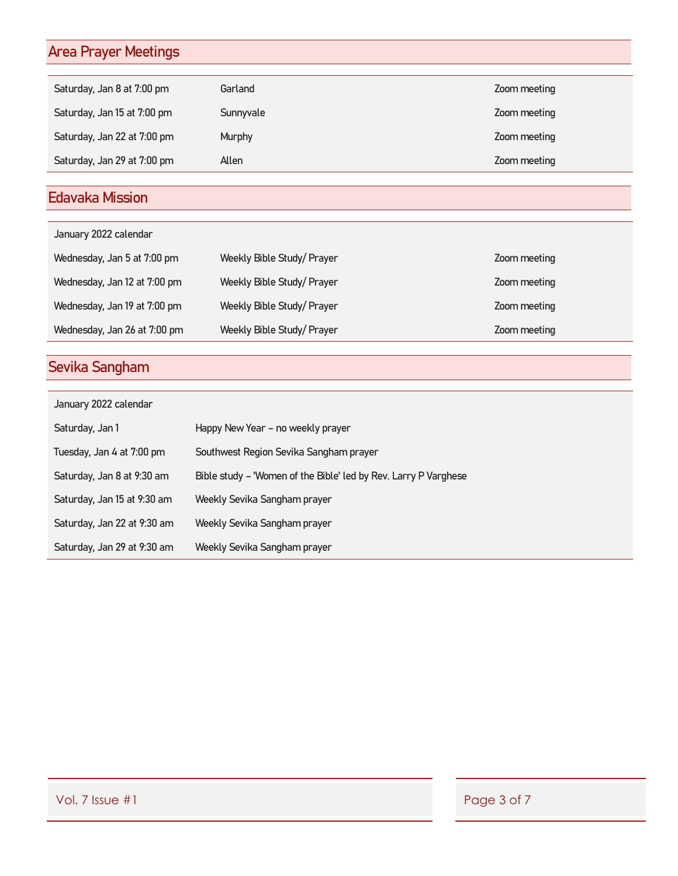# Area Prayer Meetings

| Saturday, Jan 8 at 7:00 pm  | Garland   | Zoom meeting |
|-----------------------------|-----------|--------------|
| Saturday, Jan 15 at 7:00 pm | Sunnyvale | Zoom meeting |
| Saturday, Jan 22 at 7:00 pm | Murphy    | Zoom meeting |
| Saturday, Jan 29 at 7:00 pm | Allen     | Zoom meeting |

# Edavaka Mission

| January 2022 calendar        |                            |              |
|------------------------------|----------------------------|--------------|
| Wednesday, Jan 5 at 7:00 pm  | Weekly Bible Study/ Prayer | Zoom meeting |
| Wednesday, Jan 12 at 7:00 pm | Weekly Bible Study/Prayer  | Zoom meeting |
| Wednesday, Jan 19 at 7:00 pm | Weekly Bible Study/ Prayer | Zoom meeting |
| Wednesday, Jan 26 at 7:00 pm | Weekly Bible Study/ Prayer | Zoom meeting |

# Sevika Sangham

| January 2022 calendar       |                                                                 |  |  |  |  |
|-----------------------------|-----------------------------------------------------------------|--|--|--|--|
| Saturday, Jan 1             | Happy New Year – no weekly prayer                               |  |  |  |  |
| Tuesday, Jan 4 at 7:00 pm   | Southwest Region Sevika Sangham prayer                          |  |  |  |  |
| Saturday, Jan 8 at 9:30 am  | Bible study - 'Women of the Bible' led by Rev. Larry P Varghese |  |  |  |  |
| Saturday, Jan 15 at 9:30 am | Weekly Sevika Sangham prayer                                    |  |  |  |  |
| Saturday, Jan 22 at 9:30 am | Weekly Sevika Sangham prayer                                    |  |  |  |  |
| Saturday, Jan 29 at 9:30 am | Weekly Sevika Sangham prayer                                    |  |  |  |  |

Vol. 7 Issue #1 Page 3 of 7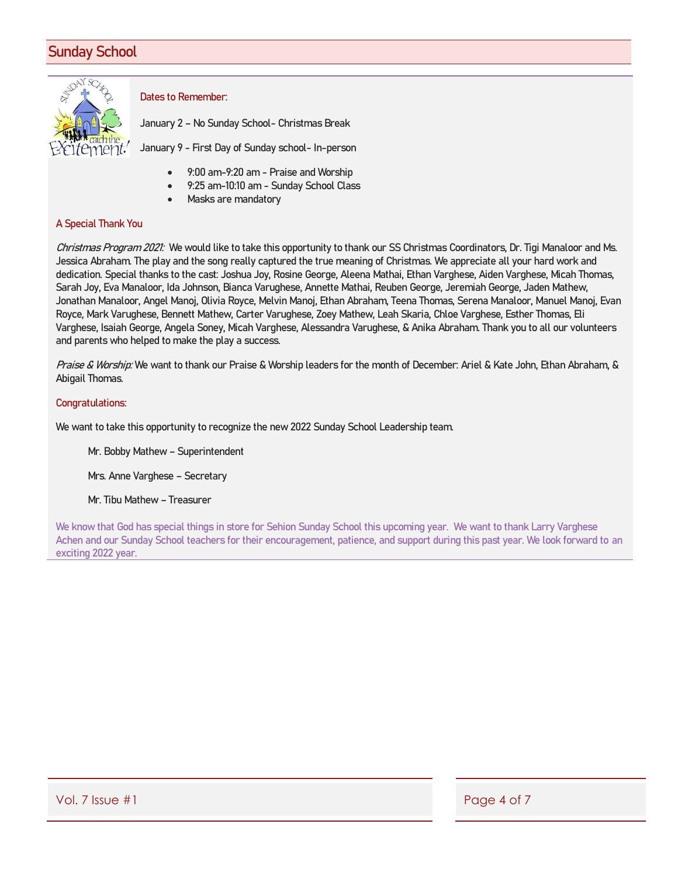## Sunday School



### Dates to Remember:

January 2 – No Sunday School- Christmas Break

January 9 - First Day of Sunday school- In-person

- 9:00 am-9:20 am Praise and Worship
- 9:25 am-10:10 am Sunday School Class
- Masks are mandatory

### A Special Thank You

Christmas Program 2021: We would like to take this opportunity to thank our SS Christmas Coordinators, Dr. Tigi Manaloor and Ms. Jessica Abraham. The play and the song really captured the true meaning of Christmas. We appreciate all your hard work and dedication. Special thanks to the cast: Joshua Joy, Rosine George, Aleena Mathai, Ethan Varghese, Aiden Varghese, Micah Thomas, Sarah Joy, Eva Manaloor, Ida Johnson, Bianca Varughese, Annette Mathai, Reuben George, Jeremiah George, Jaden Mathew, Jonathan Manaloor, Angel Manoj, Olivia Royce, Melvin Manoj, Ethan Abraham, Teena Thomas, Serena Manaloor, Manuel Manoj, Evan Royce, Mark Varughese, Bennett Mathew, Carter Varughese, Zoey Mathew, Leah Skaria, Chloe Varghese, Esther Thomas, Eli Varghese, Isaiah George, Angela Soney, Micah Varghese, Alessandra Varughese, & Anika Abraham. Thank you to all our volunteers and parents who helped to make the play a success.

Praise & Worship: We want to thank our Praise & Worship leaders for the month of December: Ariel & Kate John, Ethan Abraham, & Abigail Thomas.

### Congratulations:

We want to take this opportunity to recognize the new 2022 Sunday School Leadership team.

Mr. Bobby Mathew – Superintendent

Mrs. Anne Varghese – Secretary

Mr. Tibu Mathew – Treasurer

We know that God has special things in store for Sehion Sunday School this upcoming year. We want to thank Larry Varghese Achen and our Sunday School teachers for their encouragement, patience, and support during this past year. We look forward to an exciting 2022 year.

Vol. 7 Issue #1 Page 4 of 7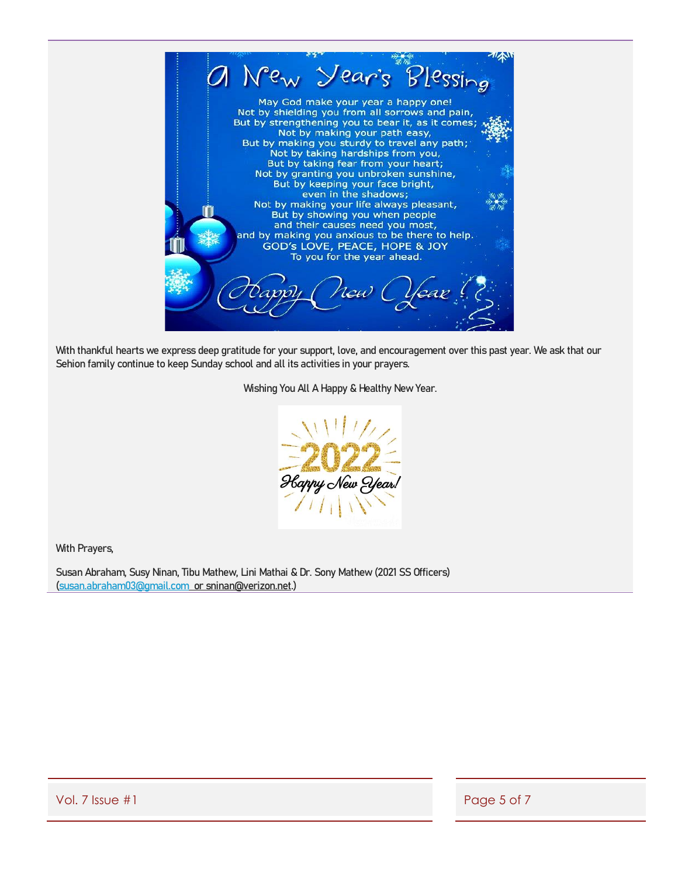

With thankful hearts we express deep gratitude for your support, love, and encouragement over this past year. We ask that our Sehion family continue to keep Sunday school and all its activities in your prayers.

Wishing You All A Happy & Healthy New Year.



With Prayers,

Susan Abraham, Susy Ninan, Tibu Mathew, Lini Mathai & Dr. Sony Mathew (2021 SS Officers) [\(susan.abraham03@gmail.com](mailto:susan.abraham03@gmail.com) or sninan@verizon.net.)

Vol. 7 Issue #1 Page 5 of 7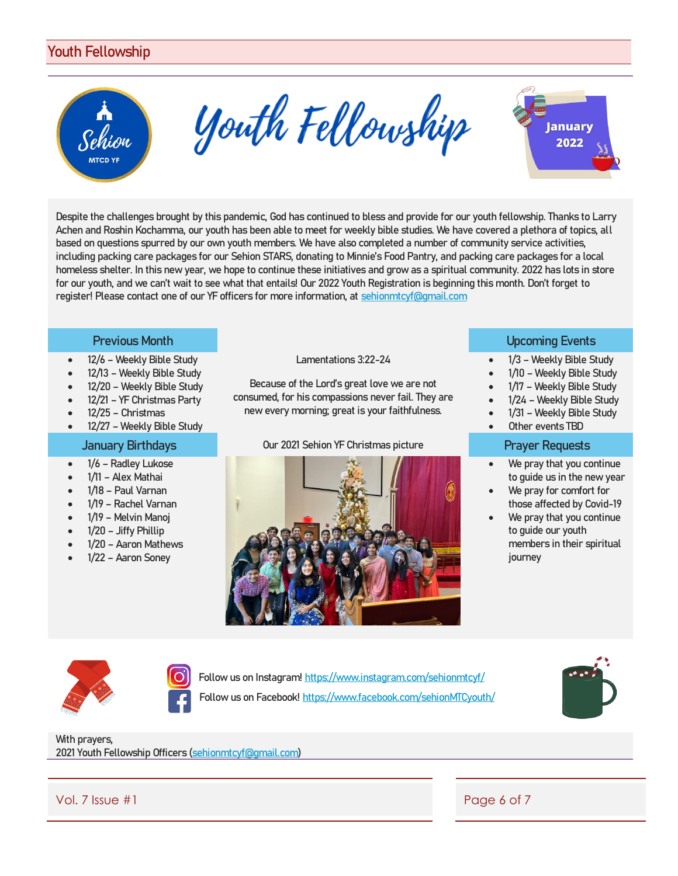## Youth Fellowship



Youth Fellowship



Despite the challenges brought by this pandemic, God has continued to bless and provide for our youth fellowship. Thanks to Larry Achen and Roshin Kochamma, our youth has been able to meet for weekly bible studies. We have covered a plethora of topics, all based on questions spurred by our own youth members. We have also completed a number of community service activities, including packing care packages for our Sehion STARS, donating to Minnie's Food Pantry, and packing care packages for a local homeless shelter. In this new year, we hope to continue these initiatives and grow as a spiritual community. 2022 has lots in store for our youth, and we can't wait to see what that entails! Our 2022 Youth Registration is beginning this month. Don't forget to register! Please contact one of our YF officers for more information, at [sehionmtcyf@gmail.com](mailto:sehionmtcyf@gmail.com)

- 12/6 Weekly Bible Study
- 12/13 Weekly Bible Study
- 12/20 Weekly Bible Study
- 12/21 YF Christmas Party
- 12/25 Christmas
- 12/27 Weekly Bible Study

- 1/6 Radlev Lukose
- 1/11 Alex Mathai
- 1/18 Paul Varnan
- 1/19 Rachel Varnan
- 1/19 Melvin Manoj
- 1/20 Jiffy Phillip
- 1/20 Aaron Mathews
- 1/22 Aaron Soney

Lamentations 3:22-24

Because of the Lord's great love we are not consumed, for his compassions never fail. They are new every morning; great is your faithfulness.

### January Birthdays **Dure 2021** Sehion YF Christmas picture **Prayer Requests**



### **Previous Month Community Community Community Community Community Community Community Community Community Community**

- 1/3 Weekly Bible Study
- 1/10 Weekly Bible Study
- 1/17 Weekly Bible Study
- 1/24 Weekly Bible Study
- 1/31 Weekly Bible Study
- Other events TBD

- We pray that you continue to guide us in the new year
- We pray for comfort for those affected by Covid-19
- We pray that you continue to guide our youth members in their spiritual journey



Follow us on Instagram!<https://www.instagram.com/sehionmtcyf/> Follow us on Facebook!<https://www.facebook.com/sehionMTCyouth/>



With prayers, 2021 Youth Fellowship Officers [\(sehionmtcyf@gmail.com\)](mailto:sehionmtcyf@gmail.com)

Vol. 7 Issue #1 Page 6 of 7